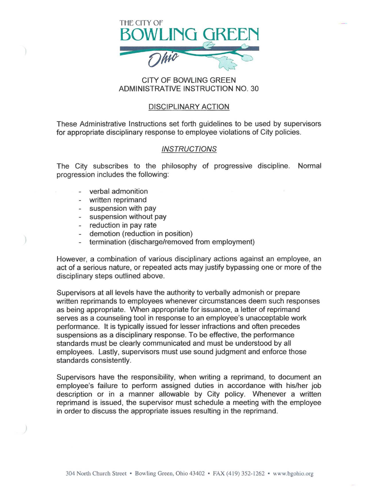

## CITY OF BOWLING GREEN ADMINISTRATIVE INSTRUCTION NO. 30

## DISCIPLINARY ACTION

These Administrative Instructions set forth guidelines to be used by supervisors for appropriate disciplinary response to employee violations of City policies.

## **INSTRUCTIONS**

The City subscribes to the philosophy of progressive discipline. Normal progression includes the following:

- verbal admonition
- written reprimand
- suspension with pay
- suspension without pay
- reduction in pay rate
- demotion (reduction in position)
- termination (discharge/removed from employment)

However, a combination of various disciplinary actions against an employee, an act of a serious nature, or repeated acts may justify bypassing one or more of the disciplinary steps outlined above.

Supervisors at all levels have the authority to verbally admonish or prepare written reprimands to employees whenever circumstances deem such responses as being appropriate. When appropriate for issuance, a letter of reprimand serves as a counseling tool in response to an employee's unacceptable work performance. It is typically issued for lesser infractions and often precedes suspensions as a disciplinary response. To be effective, the performance standards must be clearly communicated and must be understood by all employees. Lastly, supervisors must use sound judgment and enforce those standards consistently.

Supervisors have the responsibility, when writing a reprimand, to document an employee's failure to perform assigned duties in accordance with his/her job description or in a manner allowable by City policy. Whenever a written reprimand is issued, the supervisor must schedule a meeting with the employee in order to discuss the appropriate issues resulting in the reprimand.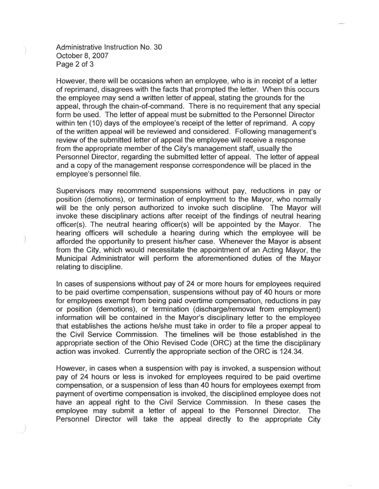Administrative Instruction No. 30 October 8, 2007 Page 2 of 3

However, there will be occasions when an employee, who is in receipt of a letter of reprimand, disagrees with the facts that prompted the letter. When this occurs the employee may send a written letter of appeal, stating the grounds for the appeal, through the chain-of-command. There is no requirement that any special form be used. The letter of appeal must be submitted to the Personnel Director within ten (10) days of the employee's receipt of the letter of reprimand. A copy of the written appeal will be reviewed and considered. Following management's review of the submitted letter of appeal the employee will receive a response from the appropriate member of the City's management staff, usually the Personnel Director, regarding the submitted letter of appeal. The letter of appeal and a copy of the management response correspondence will be placed in the employee's personnel file.

Supervisors may recommend suspensions without pay, reductions in pay or position (demotions), or termination of employment to the Mayor, who normally will be the only person authorized to invoke such discipline. The Mayor will invoke these disciplinary actions after receipt of the findings of neutral hearing officer(s). The neutral hearing officer(s) will be appointed by the Mayor. The hearing officers will schedule a hearing during which the employee will be afforded the opportunity to present his/her case. Whenever the Mayor is absent from the City, which would necessitate the appointment of an Acting Mayor, the Municipal Administrator will perform the aforementioned duties of the Mayor relating to discipline.

In cases of suspensions without pay of 24 or more hours for employees required to be paid overtime compensation, suspensions without pay of 40 hours or more for employees exempt from being paid overtime compensation, reductions in pay or position (demotions), or termination (discharge/removal from employment) information will be contained in the Mayor's disciplinary letter to the employee that establishes the actions he/she must take in order to file a proper appeal to the Civil Service Commission. The timelines will be those established in the appropriate section of the Ohio Revised Code (ORC) at the time the disciplinary action was invoked. Currently the appropriate section of the ORC is 124.34.

However, in cases when a suspension with pay is invoked, a suspension without pay of 24 hours or less is invoked for employees required to be paid overtime compensation, or a suspension of less than 40 hours for employees exempt from payment of overtime compensation is invoked, the disciplined employee does not have an appeal right to the Civil Service Commission. In these cases the employee may submit a letter of appeal to the Personnel Director. The Personnel Director will take the appeal directly to the appropriate City